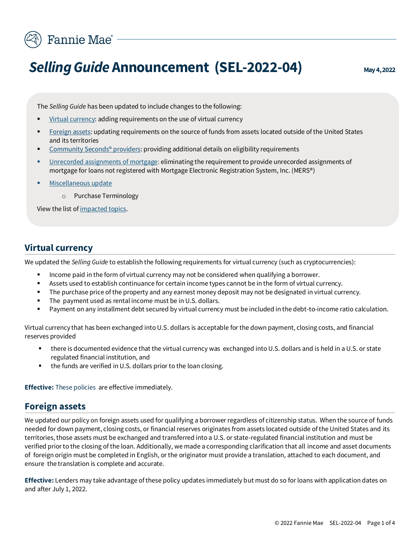

# **Selling Guide Announcement (SEL-2022-04)** May 4, 2022

The *Selling Guide* has been updated to include changes to the following:

- [Virtual currency:](#page-0-0) adding requirements on the use of virtual currency
- [Foreign assets:](#page-0-1) updating requirements on the source of funds from assets located outside of the United States and its territories
- Community Seconds<sup>®</sup> providers: providing additional details on eligibility requirements
- [Unrecorded assignments of mortgage:](#page-1-1) eliminating the requirement to provide unrecorded assignments of mortgage for loans not registered with Mortgage Electronic Registration System, Inc. (MERS®)
- [Miscellaneous update](#page-1-2)
	- o Purchase Terminology

View the list of [impacted topics.](#page-2-0)

#### <span id="page-0-0"></span>**Virtual currency**

We updated the *Selling Guide* to establish the following requirements for virtual currency (such as cryptocurrencies):

- Income paid in the form of virtual currency may not be considered when qualifying a borrower.
- Assets used to establish continuance for certain income types cannot be in the form of virtual currency.
- The purchase price of the property and any earnest money deposit may not be designated in virtual currency.
- The payment used as rental income must be in U.S. dollars.
- Payment on any installment debt secured by virtual currency must be included in the debt-to-income ratio calculation.

Virtual currency that has been exchanged into U.S. dollars is acceptable for the down payment, closing costs, and financial reserves provided

- there is documented evidence that the virtual currency was exchanged into U.S. dollars and is held in a U.S. or state regulated financial institution, and
- the funds are verified in U.S. dollars prior to the loan closing.

**Effective:** These policies are effective immediately.

#### <span id="page-0-1"></span>**Foreign assets**

We updated our policy on foreign assets used for qualifying a borrower regardless of citizenship status. When the source of funds needed for down payment, closing costs, or financial reserves originates from assets located outside of the United States and its territories, those assets must be exchanged and transferred into a U.S. or state-regulated financial institution and must be verified prior to the closing of the loan. Additionally, we made a corresponding clarification that all income and asset documents of foreign origin must be completed in English, or the originator must provide a translation, attached to each document, and ensure the translation is complete and accurate.

**Effective:** Lenders may take advantage of these policy updates immediately but must do so for loans with application dates on and after July 1, 2022.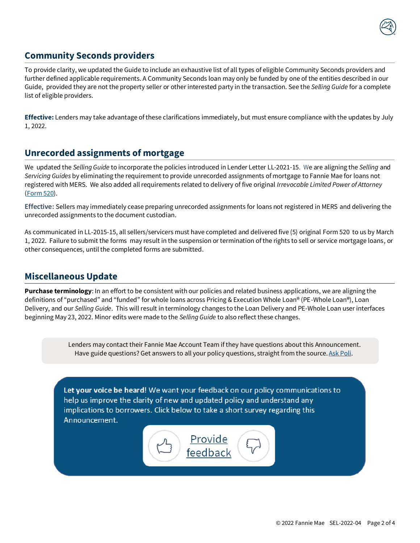

## **Community Seconds providers**

<span id="page-1-0"></span>To provide clarity, we updated the Guide to include an exhaustive list of all types of eligible Community Seconds providers and further defined applicable requirements. A Community Seconds loan may only be funded by one of the entities described in our Guide, provided they are not the property seller or other interested party in the transaction. See the *Selling Guide* for a complete list of eligible providers.

**Effective:** Lenders may take advantage of these clarifications immediately, but must ensure compliance with the updates by July 1, 2022.

### <span id="page-1-1"></span>**Unrecorded assignments of mortgage**

We updated the *Selling Guide* to incorporate the policies introduced in Lender Letter LL-2021-15. We are aligning the *Selling* and *Servicing Guides* by eliminating the requirement to provide unrecorded assignments of mortgage to Fannie Mae for loans not registered with MERS. We also added all requirements related to delivery of five original *Irrevocable Limited Power of Attorney* [\(Form 520\)](https://singlefamily.fanniemae.com/media/document/pdf/form-520).

**Effective:** Sellers may immediately cease preparing unrecorded assignments for loans not registered in MERS and delivering the unrecorded assignments to the document custodian.

As communicated in LL-2015-15, all sellers/servicers must have completed and delivered five (5) original [Form 520](https://singlefamily.fanniemae.com/media/29291/display) to us by March 1, 2022. Failure to submit the forms may result in the suspension or termination of the rights to sell or service mortgage loans, or other consequences, until the completed forms are submitted.

#### <span id="page-1-2"></span>**Miscellaneous Update**

**Purchase terminology**: In an effort to be consistent with our policies and related business applications, we are aligning the definitions of "purchased" and "funded" for whole loans across Pricing & Execution Whole Loan® (PE-Whole Loan®), Loan Delivery, and our *Selling Guide*. This will result in terminology changes to the Loan Delivery and PE-Whole Loan user interfaces beginning May 23, 2022. Minor edits were made to the *Selling Guide* to also reflect these changes.

> Lenders may contact their Fannie Mae Account Team if they have questions about this Announcement. Have guide questions? Get answers to all your policy questions, straight from the source[. Ask Poli.](https://askpoli.fanniemae.com/?guideType=Seller&_ga=2.213443604.1603156932.1588165002-936014707.1588165002)

Let your voice be heard! We want your feedback on our policy communications to help us improve the clarity of new and updated policy and understand any implications to borrowers. Click below to take a short survey regarding this Announcement.

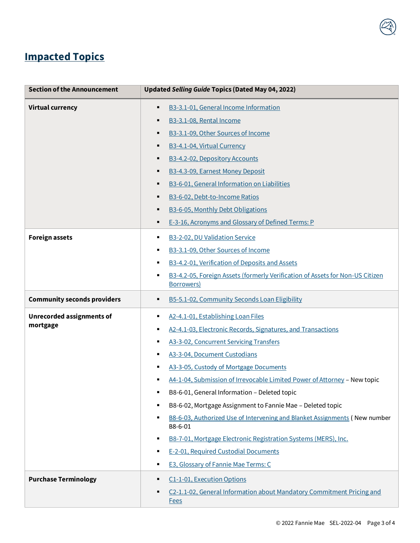## <span id="page-2-0"></span>**Impacted Topics**

| <b>Section of the Announcement</b> | Updated Selling Guide Topics (Dated May 04, 2022)                                                |
|------------------------------------|--------------------------------------------------------------------------------------------------|
| <b>Virtual currency</b>            | B3-3.1-01, General Income Information<br>٠                                                       |
|                                    | B3-3.1-08, Rental Income<br>٠                                                                    |
|                                    | B3-3.1-09, Other Sources of Income                                                               |
|                                    | B3-4.1-04, Virtual Currency<br>٠                                                                 |
|                                    | B3-4.2-02, Depository Accounts                                                                   |
|                                    | B3-4.3-09, Earnest Money Deposit<br>٠                                                            |
|                                    | B3-6-01, General Information on Liabilities<br>٠                                                 |
|                                    | B3-6-02, Debt-to-Income Ratios<br>٠                                                              |
|                                    | B3-6-05, Monthly Debt Obligations<br>٠                                                           |
|                                    | E-3-16, Acronyms and Glossary of Defined Terms: P<br>٠                                           |
| <b>Foreign assets</b>              | B3-2-02, DU Validation Service<br>٠                                                              |
|                                    | B3-3.1-09, Other Sources of Income<br>٠                                                          |
|                                    | B3-4.2-01, Verification of Deposits and Assets<br>٠                                              |
|                                    | B3-4.2-05, Foreign Assets (formerly Verification of Assets for Non-US Citizen<br>٠<br>Borrowers) |
| <b>Community seconds providers</b> | B5-5.1-02, Community Seconds Loan Eligibility<br>٠                                               |
| <b>Unrecorded assignments of</b>   | A2-4.1-01, Establishing Loan Files<br>٠                                                          |
| mortgage                           | A2-4.1-03, Electronic Records, Signatures, and Transactions                                      |
|                                    | A3-3-02, Concurrent Servicing Transfers<br>٠                                                     |
|                                    | A3-3-04, Document Custodians<br>٠                                                                |
|                                    | A3-3-05, Custody of Mortgage Documents<br>٠                                                      |
|                                    | A4-1-04, Submission of Irrevocable Limited Power of Attorney - New topic                         |
|                                    | B8-6-01, General Information - Deleted topic                                                     |
|                                    | B8-6-02, Mortgage Assignment to Fannie Mae - Deleted topic<br>٠                                  |
|                                    | B8-6-03, Authorized Use of Intervening and Blanket Assignments (New number<br>B8-6-01            |
|                                    | B8-7-01, Mortgage Electronic Registration Systems (MERS), Inc.<br>٠                              |
|                                    | E-2-01, Required Custodial Documents<br>٠                                                        |
|                                    | E3, Glossary of Fannie Mae Terms: C<br>٠                                                         |
| <b>Purchase Terminology</b>        | C1-1-01, Execution Options                                                                       |
|                                    | C2-1.1-02, General Information about Mandatory Commitment Pricing and<br>٠<br><b>Fees</b>        |